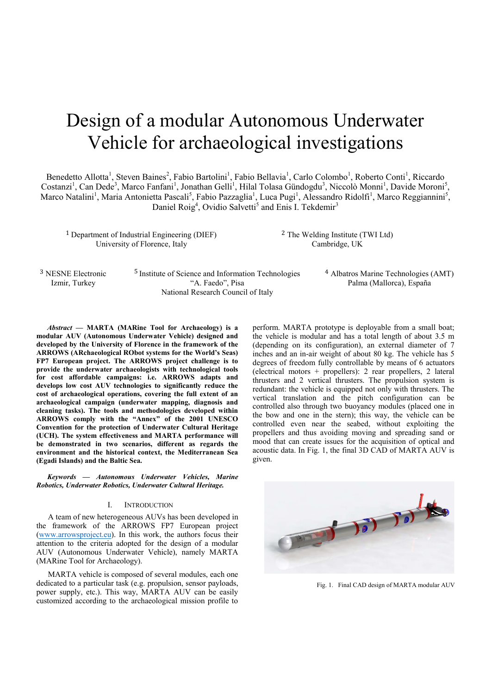# Design of a modular Autonomous Underwater Vehicle for archaeological investigations

Benedetto Allotta<sup>1</sup>, Steven Baines<sup>2</sup>, Fabio Bartolini<sup>1</sup>, Fabio Bellavia<sup>1</sup>, Carlo Colombo<sup>1</sup>, Roberto Conti<sup>1</sup>, Riccardo Costanzi<sup>1</sup>, Can Dede<sup>3</sup>, Marco Fanfani<sup>1</sup>, Jonathan Gelli<sup>1</sup>, Hilal Tolasa Gündogdu<sup>3</sup>, Niccolò Monni<sup>1</sup>, Davide Moroni<sup>5</sup>, Marco Natalini<sup>1</sup>, Maria Antonietta Pascali<sup>5</sup>, Fabio Pazzaglia<sup>1</sup>, Luca Pugi<sup>1</sup>, Alessandro Ridolfi<sup>1</sup>, Marco Reggiannini<sup>5</sup>, Daniel Roig<sup>4</sup>, Ovidio Salvetti<sup>5</sup> and Enis I. Tekdemir<sup>3</sup>

 $<sup>1</sup>$  Department of Industrial Engineering (DIEF)</sup> University of Florence, Italy

<sup>2</sup> The Welding Institute (TWI Ltd) Cambridge, UK

<sup>3</sup> NESNE Electronic Izmir, Turkey

<sup>5</sup> Institute of Science and Information Technologies "A. Faedo". Pisa National Research Council of Italy

� Albatros Marine Technologies (AMT) Palma (Mallorca), España

*Abstract*  **MARTA (MARine Tool for Archaeology) is a modular AUV (Autonomous Underwater Vehicle) designed and developed by the University of Florence in the framework of the ARROWS (ARchaeological RObot systems for the Worlds Seas) FP7 European project. The ARROWS project challenge is to provide the underwater archaeologists with technological tools for cost affordable campaigns: i.e. ARROWS adapts and develops low cost AUV technologies to significantly reduce the cost of archaeological operations, covering the full extent of an archaeological campaign (underwater mapping, diagnosis and cleaning tasks). The tools and methodologies developed within ARROWS comply with the Annex of the 2001 UNESCO Convention for the protection of Underwater Cultural Heritage (UCH). The system effectiveness and MARTA performance will be demonstrated in two scenarios, different as regards the environment and the historical context, the Mediterranean Sea (Egadi Islands) and the Baltic Sea.** 

*Keywords Autonomous Underwater Vehicles, Marine Robotics, Underwater Robotics, Underwater Cultural Heritage.* 

### I. INTRODUCTION

A team of new heterogeneous AUVs has been developed in the framework of the ARROWS FP7 European project (www.arrowsproject.eu). In this work, the authors focus their attention to the criteria adopted for the design of a modular AUV (Autonomous Underwater Vehicle), namely MARTA (MARine Tool for Archaeology).

MARTA vehicle is composed of several modules, each one dedicated to a particular task (e.g. propulsion, sensor payloads, power supply, etc.). This way, MARTA AUV can be easily customized according to the archaeological mission profile to perform. MARTA prototype is deployable from a small boat; the vehicle is modular and has a total length of about 3.5 m (depending on its configuration), an external diameter of 7 inches and an in-air weight of about 80 kg. The vehicle has 5 degrees of freedom fully controllable by means of 6 actuators (electrical motors + propellers): 2 rear propellers, 2 lateral thrusters and 2 vertical thrusters. The propulsion system is redundant: the vehicle is equipped not only with thrusters. The vertical translation and the pitch configuration can be controlled also through two buoyancy modules (placed one in the bow and one in the stern); this way, the vehicle can be controlled even near the seabed, without exploiting the propellers and thus avoiding moving and spreading sand or mood that can create issues for the acquisition of optical and acoustic data. In Fig. 1, the final 3D CAD of MARTA AUV is given.



Fig. 1. Final CAD design of MARTA modular AUV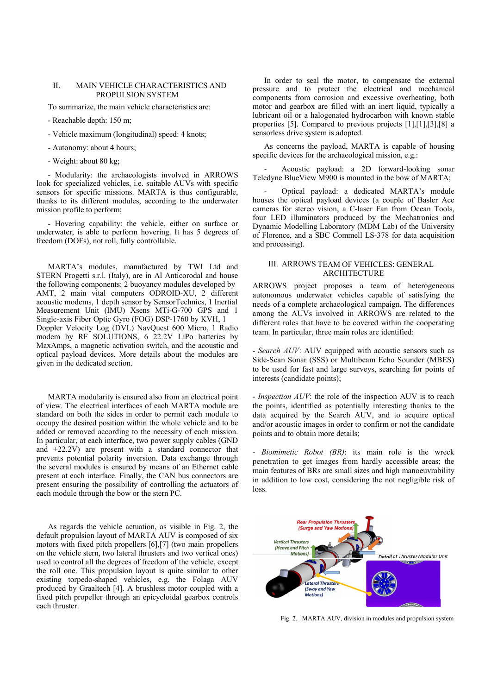## II. MAIN VEHICLE CHARACTERISTICS AND PROPULSION SYSTEM

To summarize, the main vehicle characteristics are:

- Reachable depth: 150 m;
- Vehicle maximum (longitudinal) speed: 4 knots;
- Autonomy: about 4 hours;
- Weight: about 80 kg;

- Modularity: the archaeologists involved in ARROWS look for specialized vehicles, i.e. suitable AUVs with specific sensors for specific missions. MARTA is thus configurable, thanks to its different modules, according to the underwater mission profile to perform;

- Hovering capability: the vehicle, either on surface or underwater, is able to perform hovering. It has 5 degrees of freedom (DOFs), not roll, fully controllable.

MARTA's modules, manufactured by TWI Ltd and STERN Progetti s.r.l. (Italy), are in Al Anticorodal and house the following components: 2 buoyancy modules developed by AMT, 2 main vital computers ODROID-XU, 2 different acoustic modems, 1 depth sensor by SensorTechnics, 1 Inertial Measurement Unit (IMU) Xsens MTi-G-700 GPS and 1 Single-axis Fiber Optic Gyro (FOG) DSP-1760 by KVH, 1 Doppler Velocity Log (DVL) NavQuest 600 Micro, 1 Radio modem by RF SOLUTIONS, 6 22.2V LiPo batteries by MaxAmps, a magnetic activation switch, and the acoustic and optical payload devices. More details about the modules are given in the dedicated section.

MARTA modularity is ensured also from an electrical point of view. The electrical interfaces of each MARTA module are standard on both the sides in order to permit each module to occupy the desired position within the whole vehicle and to be added or removed according to the necessity of each mission. In particular, at each interface, two power supply cables (GND and +22.2V) are present with a standard connector that prevents potential polarity inversion. Data exchange through the several modules is ensured by means of an Ethernet cable present at each interface. Finally, the CAN bus connectors are present ensuring the possibility of controlling the actuators of each module through the bow or the stern PC.

In order to seal the motor, to compensate the external pressure and to protect the electrical and mechanical components from corrosion and excessive overheating, both motor and gearbox are filled with an inert liquid, typically a lubricant oil or a halogenated hydrocarbon with known stable properties [5]. Compared to previous projects [1],[1],[3],[8] a sensorless drive system is adopted.

As concerns the payload, MARTA is capable of housing specific devices for the archaeological mission, e.g.:

- Acoustic payload: a 2D forward-looking sonar Teledyne BlueView M900 is mounted in the bow of MARTA;

Optical payload: a dedicated MARTA's module houses the optical payload devices (a couple of Basler Ace cameras for stereo vision, a C-laser Fan from Ocean Tools, four LED illuminators produced by the Mechatronics and Dynamic Modelling Laboratory (MDM Lab) of the University of Florence, and a SBC Commell LS-378 for data acquisition and processing).

#### III. ARROWS TEAM OF VEHICLES: GENERAL ARCHITECTURE

ARROWS project proposes a team of heterogeneous autonomous underwater vehicles capable of satisfying the needs of a complete archaeological campaign. The differences among the AUVs involved in ARROWS are related to the different roles that have to be covered within the cooperating team. In particular, three main roles are identified:

- *Search AUV*: AUV equipped with acoustic sensors such as Side-Scan Sonar (SSS) or Multibeam Echo Sounder (MBES) to be used for fast and large surveys, searching for points of interests (candidate points);

- *Inspection AUV*: the role of the inspection AUV is to reach the points, identified as potentially interesting thanks to the data acquired by the Search AUV, and to acquire optical and/or acoustic images in order to confirm or not the candidate points and to obtain more details;

- *Biomimetic Robot (BR)*: its main role is the wreck penetration to get images from hardly accessible areas; the main features of BRs are small sizes and high manoeuvrability in addition to low cost, considering the not negligible risk of loss.

As regards the vehicle actuation, as visible in Fig. 2, the default propulsion layout of MARTA AUV is composed of six motors with fixed pitch propellers [6],[7] (two main propellers on the vehicle stern, two lateral thrusters and two vertical ones) used to control all the degrees of freedom of the vehicle, except the roll one. This propulsion layout is quite similar to other existing torpedo-shaped vehicles, e.g. the Folaga AUV produced by Graaltech [4]. A brushless motor coupled with a fixed pitch propeller through an epicycloidal gearbox controls each thruster.



Fig. 2. MARTA AUV, division in modules and propulsion system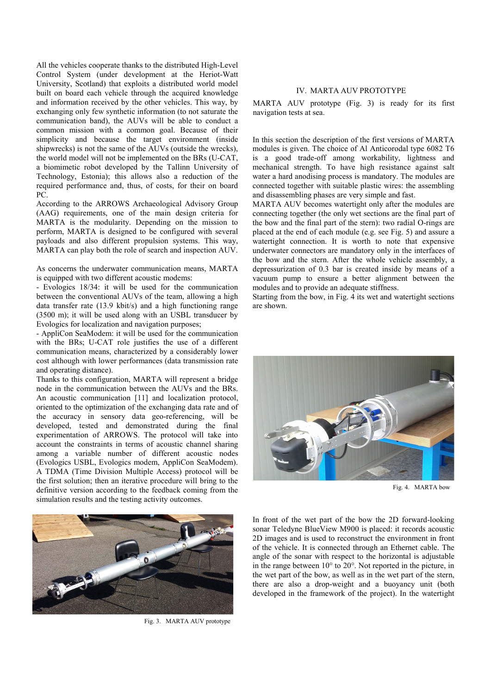All the vehicles cooperate thanks to the distributed High-Level Control System (under development at the Heriot-Watt University, Scotland) that exploits a distributed world model built on board each vehicle through the acquired knowledge and information received by the other vehicles. This way, by exchanging only few synthetic information (to not saturate the communication band), the AUVs will be able to conduct a common mission with a common goal. Because of their simplicity and because the target environment (inside shipwrecks) is not the same of the AUVs (outside the wrecks), the world model will not be implemented on the BRs (U-CAT, a biomimetic robot developed by the Tallinn University of Technology, Estonia); this allows also a reduction of the required performance and, thus, of costs, for their on board PC.

According to the ARROWS Archaeological Advisory Group (AAG) requirements, one of the main design criteria for MARTA is the modularity. Depending on the mission to perform, MARTA is designed to be configured with several payloads and also different propulsion systems. This way, MARTA can play both the role of search and inspection AUV.

As concerns the underwater communication means, MARTA is equipped with two different acoustic modems:

- Evologics 18/34: it will be used for the communication between the conventional AUVs of the team, allowing a high data transfer rate (13.9 kbit/s) and a high functioning range (3500 m); it will be used along with an USBL transducer by Evologics for localization and navigation purposes;

- AppliCon SeaModem: it will be used for the communication with the BRs; U-CAT role justifies the use of a different communication means, characterized by a considerably lower cost although with lower performances (data transmission rate and operating distance).

Thanks to this configuration, MARTA will represent a bridge node in the communication between the AUVs and the BRs. An acoustic communication [11] and localization protocol, oriented to the optimization of the exchanging data rate and of the accuracy in sensory data geo-referencing, will be developed, tested and demonstrated during the final experimentation of ARROWS. The protocol will take into account the constraints in terms of acoustic channel sharing among a variable number of different acoustic nodes (Evologics USBL, Evologics modem, AppliCon SeaModem). A TDMA (Time Division Multiple Access) protocol will be the first solution; then an iterative procedure will bring to the definitive version according to the feedback coming from the simulation results and the testing activity outcomes.



Fig. 3. MARTA AUV prototype

#### IV. MARTA AUV PROTOTYPE

MARTA AUV prototype (Fig. 3) is ready for its first navigation tests at sea.

In this section the description of the first versions of MARTA modules is given. The choice of Al Anticorodal type 6082 T6 is a good trade-off among workability, lightness and mechanical strength. To have high resistance against salt water a hard anodising process is mandatory. The modules are connected together with suitable plastic wires: the assembling and disassembling phases are very simple and fast.

MARTA AUV becomes watertight only after the modules are connecting together (the only wet sections are the final part of the bow and the final part of the stern): two radial O-rings are placed at the end of each module (e.g. see Fig. 5) and assure a watertight connection. It is worth to note that expensive underwater connectors are mandatory only in the interfaces of the bow and the stern. After the whole vehicle assembly, a depressurization of 0.3 bar is created inside by means of a vacuum pump to ensure a better alignment between the modules and to provide an adequate stiffness.

Starting from the bow, in Fig. 4 its wet and watertight sections are shown.



Fig. 4. MARTA bow

In front of the wet part of the bow the 2D forward-looking sonar Teledyne BlueView M900 is placed: it records acoustic 2D images and is used to reconstruct the environment in front of the vehicle. It is connected through an Ethernet cable. The angle of the sonar with respect to the horizontal is adjustable in the range between 10° to 20°. Not reported in the picture, in the wet part of the bow, as well as in the wet part of the stern, there are also a drop-weight and a buoyancy unit (both developed in the framework of the project). In the watertight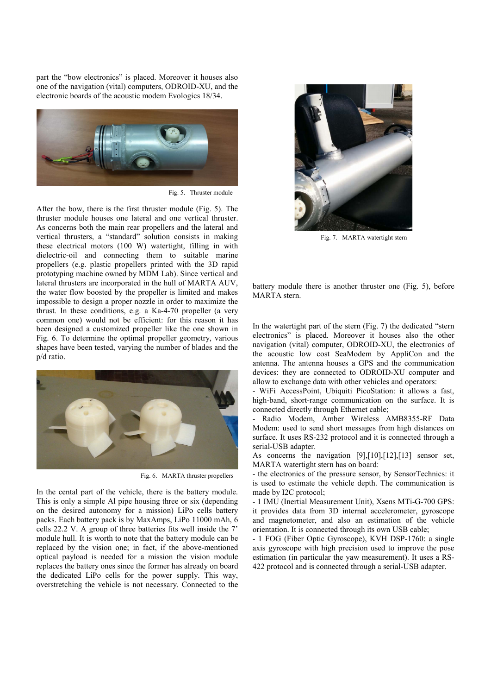part the "bow electronics" is placed. Moreover it houses also one of the navigation (vital) computers, ODROID-XU, and the electronic boards of the acoustic modem Evologics 18/34.



Fig. 5. Thruster module

After the bow, there is the first thruster module (Fig. 5). The thruster module houses one lateral and one vertical thruster. As concerns both the main rear propellers and the lateral and vertical thrusters, a "standard" solution consists in making these electrical motors (100 W) watertight, filling in with dielectric-oil and connecting them to suitable marine propellers (e.g. plastic propellers printed with the 3D rapid prototyping machine owned by MDM Lab). Since vertical and lateral thrusters are incorporated in the hull of MARTA AUV, the water flow boosted by the propeller is limited and makes impossible to design a proper nozzle in order to maximize the thrust. In these conditions, e.g. a Ka-4-70 propeller (a very common one) would not be efficient: for this reason it has been designed a customized propeller like the one shown in Fig. 6. To determine the optimal propeller geometry, various shapes have been tested, varying the number of blades and the p/d ratio.



Fig. 6. MARTA thruster propellers

In the cental part of the vehicle, there is the battery module. This is only a simple Al pipe housing three or six (depending on the desired autonomy for a mission) LiPo cells battery packs. Each battery pack is by MaxAmps, LiPo 11000 mAh, 6 cells 22.2 V. A group of three batteries fits well inside the 7 module hull. It is worth to note that the battery module can be replaced by the vision one; in fact, if the above-mentioned optical payload is needed for a mission the vision module replaces the battery ones since the former has already on board the dedicated LiPo cells for the power supply. This way, overstretching the vehicle is not necessary. Connected to the



Fig. 7. MARTA watertight stern

battery module there is another thruster one (Fig. 5), before MARTA stern.

In the watertight part of the stern  $(Fig. 7)$  the dedicated "stern electronics" is placed. Moreover it houses also the other navigation (vital) computer, ODROID-XU, the electronics of the acoustic low cost SeaModem by AppliCon and the antenna. The antenna houses a GPS and the communication devices: they are connected to ODROID-XU computer and allow to exchange data with other vehicles and operators:

- WiFi AccessPoint, Ubiquiti PicoStation: it allows a fast, high-band, short-range communication on the surface. It is connected directly through Ethernet cable;

- Radio Modem, Amber Wireless AMB8355-RF Data Modem: used to send short messages from high distances on surface. It uses RS-232 protocol and it is connected through a serial-USB adapter.

As concerns the navigation [9],[10],[12],[13] sensor set, MARTA watertight stern has on board:

- the electronics of the pressure sensor, by SensorTechnics: it is used to estimate the vehicle depth. The communication is made by I2C protocol;

- 1 IMU (Inertial Measurement Unit), Xsens MTi-G-700 GPS: it provides data from 3D internal accelerometer, gyroscope and magnetometer, and also an estimation of the vehicle orientation. It is connected through its own USB cable;

- 1 FOG (Fiber Optic Gyroscope), KVH DSP-1760: a single axis gyroscope with high precision used to improve the pose estimation (in particular the yaw measurement). It uses a RS-422 protocol and is connected through a serial-USB adapter.